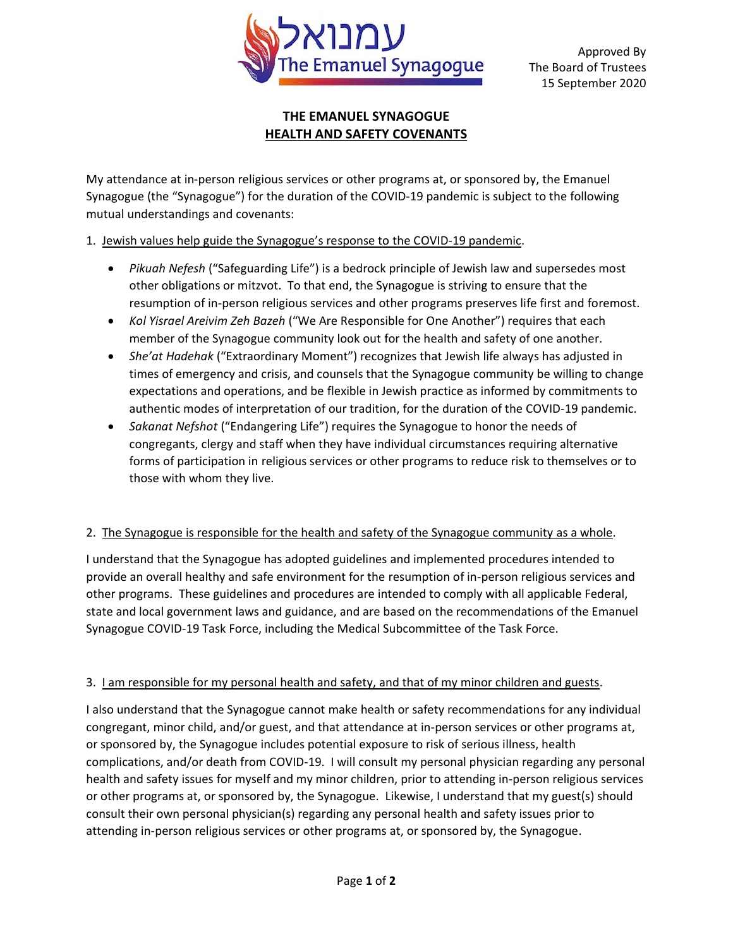

Approved By The Board of Trustees 15 September 2020

### **THE EMANUEL SYNAGOGUE HEALTH AND SAFETY COVENANTS**

My attendance at in-person religious services or other programs at, or sponsored by, the Emanuel Synagogue (the "Synagogue") for the duration of the COVID-19 pandemic is subject to the following mutual understandings and covenants:

# 1. Jewish values help guide the Synagogue's response to the COVID-19 pandemic.

- *Pikuah Nefesh* ("Safeguarding Life") is a bedrock principle of Jewish law and supersedes most other obligations or mitzvot. To that end, the Synagogue is striving to ensure that the resumption of in-person religious services and other programs preserves life first and foremost.
- *Kol Yisrael Areivim Zeh Bazeh* ("We Are Responsible for One Another") requires that each member of the Synagogue community look out for the health and safety of one another.
- *She'at Hadehak* ("Extraordinary Moment") recognizes that Jewish life always has adjusted in times of emergency and crisis, and counsels that the Synagogue community be willing to change expectations and operations, and be flexible in Jewish practice as informed by commitments to authentic modes of interpretation of our tradition, for the duration of the COVID-19 pandemic.
- *Sakanat Nefshot* ("Endangering Life") requires the Synagogue to honor the needs of congregants, clergy and staff when they have individual circumstances requiring alternative forms of participation in religious services or other programs to reduce risk to themselves or to those with whom they live.

#### 2. The Synagogue is responsible for the health and safety of the Synagogue community as a whole.

I understand that the Synagogue has adopted guidelines and implemented procedures intended to provide an overall healthy and safe environment for the resumption of in-person religious services and other programs. These guidelines and procedures are intended to comply with all applicable Federal, state and local government laws and guidance, and are based on the recommendations of the Emanuel Synagogue COVID-19 Task Force, including the Medical Subcommittee of the Task Force.

# 3. I am responsible for my personal health and safety, and that of my minor children and guests.

I also understand that the Synagogue cannot make health or safety recommendations for any individual congregant, minor child, and/or guest, and that attendance at in-person services or other programs at, or sponsored by, the Synagogue includes potential exposure to risk of serious illness, health complications, and/or death from COVID-19. I will consult my personal physician regarding any personal health and safety issues for myself and my minor children, prior to attending in-person religious services or other programs at, or sponsored by, the Synagogue. Likewise, I understand that my guest(s) should consult their own personal physician(s) regarding any personal health and safety issues prior to attending in-person religious services or other programs at, or sponsored by, the Synagogue.